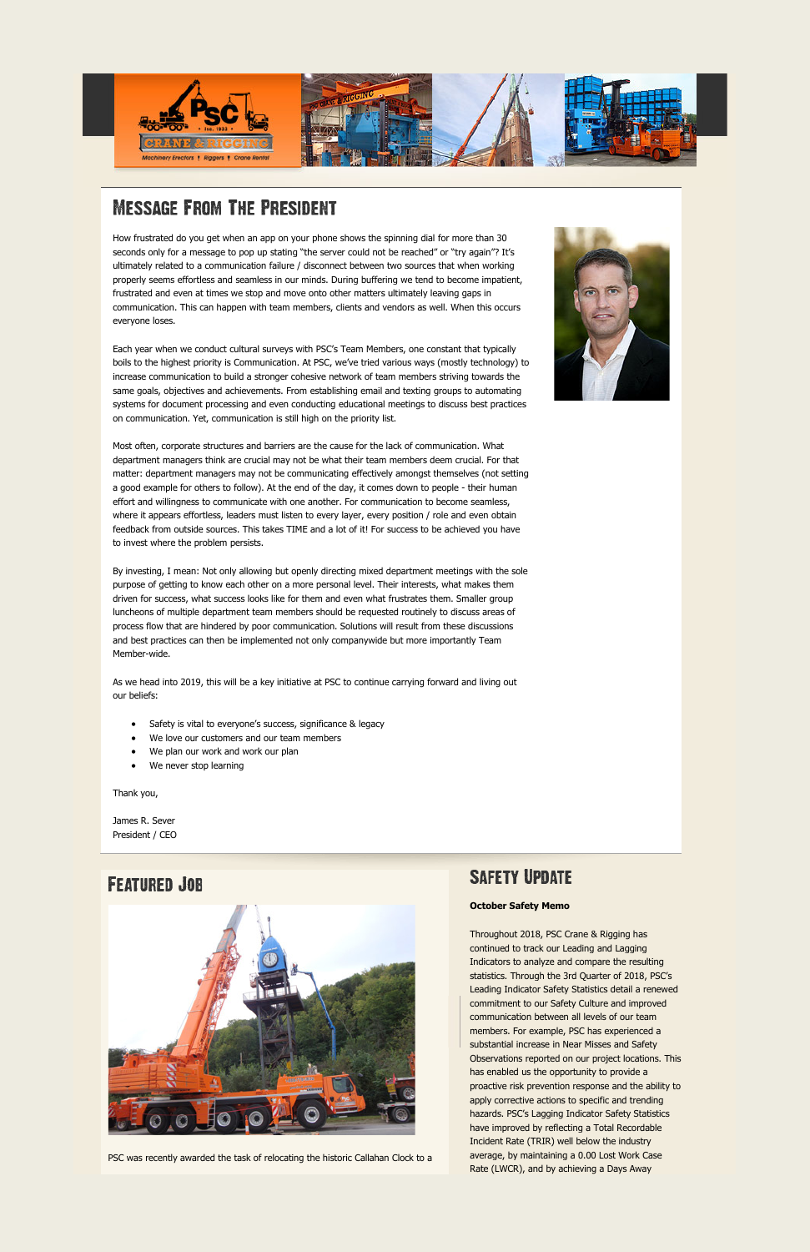

# **MESSAGE FROM THE PRESIDENT**

How frustrated do you get when an app on your phone shows the spinning dial for more than 30 seconds only for a message to pop up stating "the server could not be reached" or "try again"? It's ultimately related to a communication failure / disconnect between two sources that when working properly seems effortless and seamless in our minds. During buffering we tend to become impatient, frustrated and even at times we stop and move onto other matters ultimately leaving gaps in communication. This can happen with team members, clients and vendors as well. When this occurs everyone loses.

Each year when we conduct cultural surveys with PSC's Team Members, one constant that typically boils to the highest priority is Communication. At PSC, we've tried various ways (mostly technology) to increase communication to build a stronger cohesive network of team members striving towards the same goals, objectives and achievements. From establishing email and texting groups to automating systems for document processing and even conducting educational meetings to discuss best practices on communication. Yet, communication is still high on the priority list.



- Safety is vital to everyone's success, significance & legacy
- We love our customers and our team members
- We plan our work and work our plan
- We never stop learning

Most often, corporate structures and barriers are the cause for the lack of communication. What department managers think are crucial may not be what their team members deem crucial. For that matter: department managers may not be communicating effectively amongst themselves (not setting a good example for others to follow). At the end of the day, it comes down to people - their human effort and willingness to communicate with one another. For communication to become seamless, where it appears effortless, leaders must listen to every layer, every position / role and even obtain feedback from outside sources. This takes TIME and a lot of it! For success to be achieved you have to invest where the problem persists.

By investing, I mean: Not only allowing but openly directing mixed department meetings with the sole purpose of getting to know each other on a more personal level. Their interests, what makes them driven for success, what success looks like for them and even what frustrates them. Smaller group luncheons of multiple department team members should be requested routinely to discuss areas of process flow that are hindered by poor communication. Solutions will result from these discussions and best practices can then be implemented not only companywide but more importantly Team Member-wide.

As we head into 2019, this will be a key initiative at PSC to continue carrying forward and living out our beliefs:

Thank you,

James R. Sever President / CEO

## **FEATURED JOB**

### **SAFETY UPDATE**

PSC was recently awarded the task of relocating the historic Callahan Clock to a

**October Safety Memo**



Throughout 2018, PSC Crane & Rigging has continued to track our Leading and Lagging Indicators to analyze and compare the resulting statistics. Through the 3rd Quarter of 2018, PSC's Leading Indicator Safety Statistics detail a renewed commitment to our Safety Culture and improved communication between all levels of our team members. For example, PSC has experienced a substantial increase in Near Misses and Safety Observations reported on our project locations. This has enabled us the opportunity to provide a proactive risk prevention response and the ability to apply corrective actions to specific and trending hazards. PSC's Lagging Indicator Safety Statistics have improved by reflecting a Total Recordable Incident Rate (TRIR) well below the industry average, by maintaining a 0.00 Lost Work Case Rate (LWCR), and by achieving a Days Away